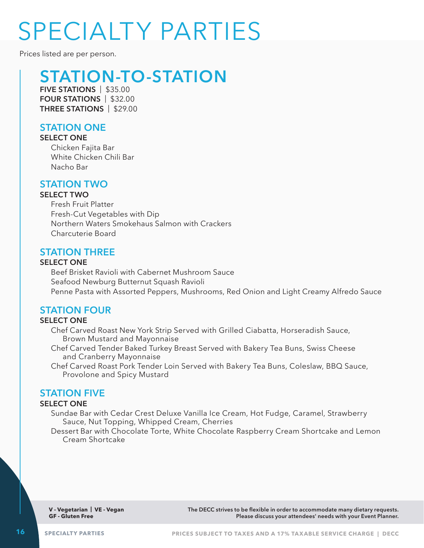# SPECIALTY PARTIES

Prices listed are per person.

# **STATION-TO-STATION**

**FIVE STATIONS** | \$35.00 **FOUR STATIONS** | \$32.00 **THREE STATIONS** | \$29.00

### **STATION ONE**

#### **SELECT ONE**

Chicken Fajita Bar White Chicken Chili Bar Nacho Bar

### **STATION TWO**

#### **SELECT TWO**

Fresh Fruit Platter Fresh-Cut Vegetables with Dip Northern Waters Smokehaus Salmon with Crackers Charcuterie Board

# **STATION THREE**

#### **SELECT ONE**

Beef Brisket Ravioli with Cabernet Mushroom Sauce Seafood Newburg Butternut Squash Ravioli Penne Pasta with Assorted Peppers, Mushrooms, Red Onion and Light Creamy Alfredo Sauce

# **STATION FOUR**

#### **SELECT ONE**

Chef Carved Roast New York Strip Served with Grilled Ciabatta, Horseradish Sauce, Brown Mustard and Mayonnaise

Chef Carved Tender Baked Turkey Breast Served with Bakery Tea Buns, Swiss Cheese and Cranberry Mayonnaise

Chef Carved Roast Pork Tender Loin Served with Bakery Tea Buns, Coleslaw, BBQ Sauce, Provolone and Spicy Mustard

# **STATION FIVE**

#### **SELECT ONE**

Sundae Bar with Cedar Crest Deluxe Vanilla Ice Cream, Hot Fudge, Caramel, Strawberry Sauce, Nut Topping, Whipped Cream, Cherries

Dessert Bar with Chocolate Torte, White Chocolate Raspberry Cream Shortcake and Lemon Cream Shortcake

**V - Vegetarian | VE - Vegan GF - Gluten Free**

**The DECC strives to be flexible in order to accommodate many dietary requests. Please discuss your attendees' needs with your Event Planner.**